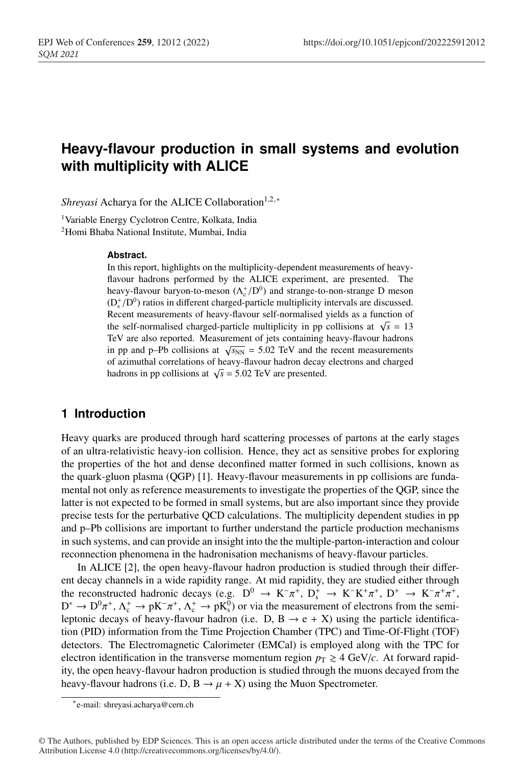# <sup>1</sup> **Heavy-flavour production in small systems and evolution** <sup>2</sup> **with multiplicity with ALICE**

*Shreyasi* Acharya for the ALICE Collaboration<sup>1,2,∗</sup>

<sup>1</sup> Variable Energy Cyclotron Centre, Kolkata, India <sup>2</sup> Homi Bhaba National Institute, Mumbai, India

#### <sup>6</sup> **Abstract.**

In this report, highlights on the multiplicity-dependent measurements of heavyflavour hadrons performed by the ALICE experiment, are presented. The heavy-flavour baryon-to-meson  $(\Lambda_c^+/D^0)$  and strange-to-non-strange D meson  $(D_s^+/D^0)$  ratios in different charged-particle multiplicity intervals are discussed. Recent measurements of heavy-flavour self-normalised yields as a function of the self-normalised charged-particle multiplicity in pp collisions at  $\sqrt{s} = 13$ <sup>13</sup> TeV are also reported. Measurement of jets containing heavy-flavour hadrons in pp and p–Pb collisions at  $\sqrt{s_{NN}}$  = 5.02 TeV and the recent measurements <sup>15</sup> of azimuthal correlations of heavy-flavour hadron decay electrons and charged hadrons in pp collisions at  $\sqrt{s}$  = 5.02 TeV are presented.

### <sup>17</sup> **1 Introduction**

<sup>18</sup> Heavy quarks are produced through hard scattering processes of partons at the early stages <sup>19</sup> of an ultra-relativistic heavy-ion collision. Hence, they act as sensitive probes for exploring <sup>20</sup> the properties of the hot and dense deconfined matter formed in such collisions, known as <sup>21</sup> the quark-gluon plasma (QGP) [1]. Heavy-flavour measurements in pp collisions are fundamental not only as reference measurements to investigate the properties of the QGP, since the latter is not expected to be formed in small systems, but are also important since they provide precise tests for the perturbative QCD calculations. The multiplicity dependent studies in pp <sup>25</sup> and p–Pb collisions are important to further understand the particle production mechanisms <sup>26</sup> in such systems, and can provide an insight into the the multiple-parton-interaction and colour reconnection phenomena in the hadronisation mechanisms of heavy-flavour particles.

In ALICE  $[2]$ , the open heavy-flavour hadron production is studied through their differ-<sup>29</sup> ent decay channels in a wide rapidity range. At mid rapidity, they are studied either through the reconstructed hadronic decays (e.g.  $D^0 \rightarrow K^-\pi^+$ ,  $D_s^+ \rightarrow K^-K^+\pi^+$ ,  $D^+ \rightarrow K^-\pi^+\pi^+$ ,  $D^* \to D^0 \pi^+$ ,  $\Lambda_c^+ \to pK^-\pi^+$ ,  $\Lambda_c^+ \to pK_s^0$ ) or via the measurement of electrons from the semileptonic decays of heavy-flavour hadron (i.e. D, B  $\rightarrow$  e + X) using the particle identification (PID) information from the Time Projection Chamber (TPC) and Time-Of-Flight (TOF) detectors. The Electromagnetic Calorimeter (EMCal) is employed along with the TPC for electron identification in the transverse momentum region  $p_T \geq 4$  GeV/*c*. At forward rapidity, the open heavy-flavour hadron production is studied through the muons decayed from the heavy-flavour hadrons (i.e. D, B  $\rightarrow \mu + X$ ) using the Muon Spectrometer.

<sup>∗</sup>e-mail: shreyasi.acharya@cern.ch

<sup>©</sup> The Authors, published by EDP Sciences. This is an open access article distributed under the terms of the Creative Commons Attribution License 4.0 (http://creativecommons.org/licenses/by/4.0/).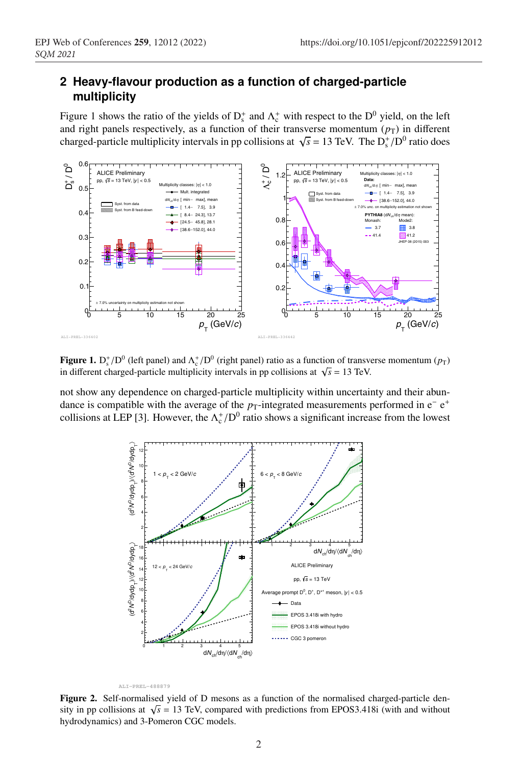## <sup>38</sup> **2 Heavy-flavour production as a function of charged-particle** <sup>39</sup> **multiplicity**

Figure 1 shows the ratio of the yields of  $D_s^+$  and  $\Lambda_c^+$  with respect to the  $D^0$  yield, on the left and right panels respectively, as a function of their transverse momentum  $(p_T)$  in different charged-particle multiplicity intervals in pp collisions at  $\sqrt{s} = 13$  TeV. The  $D_s^2/D^0$  ratio does



Figure 1.  $D_s^+ / D^0$  (left panel) and  $\Lambda_c^+ / D^0$  (right panel) ratio as a function of transverse momentum ( $p_T$ ) in different charged-particle multiplicity intervals in pp collisions at  $\sqrt{s}$  = 13 TeV.

not show any dependence on charged-particle multiplicity within uncertainty and their abundance is compatible with the average of the  $p_T$ -integrated measurements performed in e<sup>-</sup> e<sup>+</sup> collisions at LEP [3]. However, the  $\Lambda_c^+/D^0$  ratio shows a significant increase from the lowest





Figure 2. Self-normalised yield of D mesons as a function of the normalised charged-particle density in pp collisions at  $\sqrt{s}$  = 13 TeV, compared with predictions from EPOS3.418i (with and without hydrodynamics) and 3-Pomeron CGC models.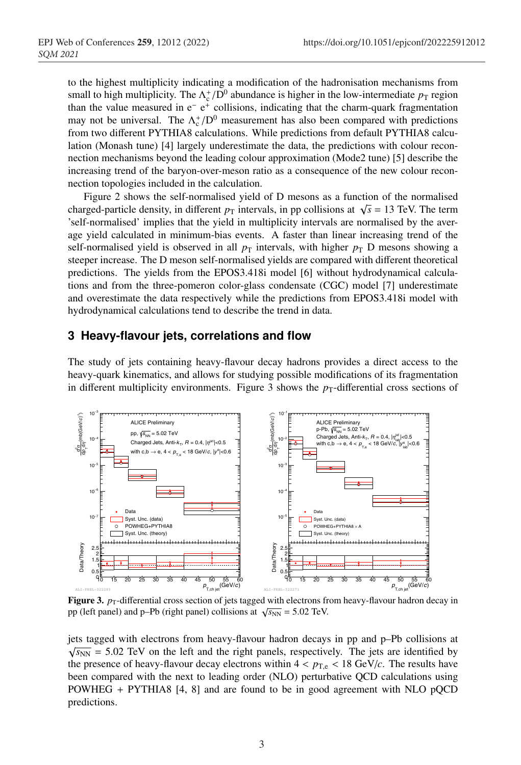<sup>46</sup> to the highest multiplicity indicating a modification of the hadronisation mechanisms from small to high multiplicity. The  $\Lambda_c^+/D^0$  abundance is higher in the low-intermediate  $p_T$  region than the value measured in  $e^- e^+$  collisions, indicating that the charm-quark fragmentation may not be universal. The  $\Lambda_c^+/D^0$  measurement has also been compared with predictions from two different PYTHIA8 calculations. While predictions from default PYTHIA8 calculation (Monash tune) [4] largely underestimate the data, the predictions with colour reconnection mechanisms beyond the leading colour approximation (Mode2 tune) [5] describe the <sup>53</sup> increasing trend of the baryon-over-meson ratio as a consequence of the new colour reconnection topologies included in the calculation.

<sup>55</sup> Figure 2 shows the self-normalised yield of D mesons as a function of the normalised charged-particle density, in different  $p<sub>T</sub>$  intervals, in pp collisions at  $\sqrt{s} = 13$  TeV. The term <sup>57</sup> 'self-normalised' implies that the yield in multiplicity intervals are normalised by the average yield calculated in minimum-bias events. A faster than linear increasing trend of the self-normalised yield is observed in all  $p<sub>T</sub>$  intervals, with higher  $p<sub>T</sub>$  D mesons showing a steeper increase. The D meson self-normalised yields are compared with different theoretical <sup>61</sup> predictions. The yields from the EPOS3.418i model [6] without hydrodynamical calculations and from the three-pomeron color-glass condensate (CGC) model [7] underestimate and overestimate the data respectively while the predictions from EPOS3.418i model with hydrodynamical calculations tend to describe the trend in data.

#### <sup>65</sup> **3 Heavy-flavour jets, correlations and flow**

The study of jets containing heavy-flavour decay hadrons provides a direct access to the heavy-quark kinematics, and allows for studying possible modifications of its fragmentation in different multiplicity environments. Figure 3 shows the  $p_T$ -differential cross sections of



**Figure 3.**  $p_T$ -differential cross section of jets tagged with electrons from heavy-flavour hadron decay in pp (left panel) and p–Pb (right panel) collisions at  $\sqrt{s_{NN}}$  = 5.02 TeV.

<sup>69</sup> jets tagged with electrons from heavy-flavour hadron decays in pp and p–Pb collisions at  $\sqrt{s_{NN}}$  = 5.02 TeV on the left and the right panels, respectively. The jets are identified by the presence of heavy-flavour decay electrons within  $4 < p_{T,e} < 18$  GeV/*c*. The results have been compared with the next to leading order (NLO) perturbative QCD calculations using  $POWHEG + PYTHIA8 [4, 8]$  and are found to be in good agreement with NLO pQCD predictions.